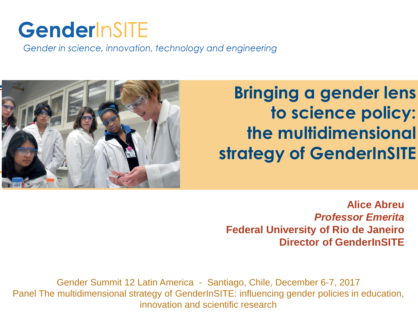# GenderInSITE

Gender in science, innovation, technology and engineering



**Bringing a gender lens to science policy: the multidimensional strategy of GenderInSITE**

**Alice Abreu** *Professor Emerita* **Federal University of Rio de Janeiro Director of GenderInSITE**

Gender Summit 12 Latin America - Santiago, Chile, December 6-7, 2017 Panel The multidimensional strategy of GenderInSITE: influencing gender policies in education, innovation and scientific research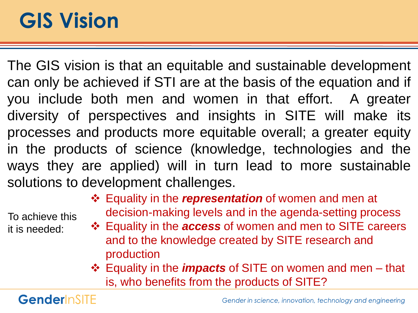# **GIS Vision**

The GIS vision is that an equitable and sustainable development can only be achieved if STI are at the basis of the equation and if you include both men and women in that effort. A greater diversity of perspectives and insights in SITE will make its processes and products more equitable overall; a greater equity in the products of science (knowledge, technologies and the ways they are applied) will in turn lead to more sustainable solutions to development challenges.

To achieve this it is needed:

- Equality in the *representation* of women and men at decision-making levels and in the agenda-setting process
- Equality in the *access* of women and men to SITE careers and to the knowledge created by SITE research and production
- Equality in the *impacts* of SITE on women and men that is, who benefits from the products of SITE?

GenderInSITE

Gender in science, innovation, technology and engineering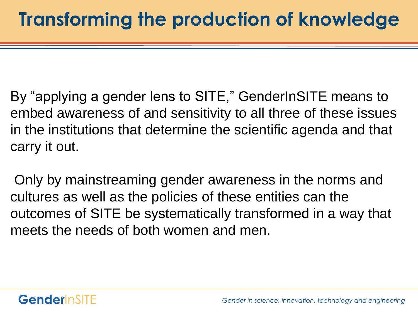By "applying a gender lens to SITE," GenderInSITE means to embed awareness of and sensitivity to all three of these issues in the institutions that determine the scientific agenda and that carry it out.

Only by mainstreaming gender awareness in the norms and cultures as well as the policies of these entities can the outcomes of SITE be systematically transformed in a way that meets the needs of both women and men.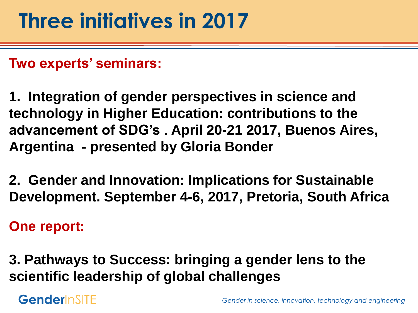**Two experts' seminars:** 

**1. Integration of gender perspectives in science and technology in Higher Education: contributions to the advancement of SDG's . April 20-21 2017, Buenos Aires, Argentina - presented by Gloria Bonder**

**2. Gender and Innovation: Implications for Sustainable Development. September 4-6, 2017, Pretoria, South Africa**

**One report:**

**3. Pathways to Success: bringing a gender lens to the scientific leadership of global challenges**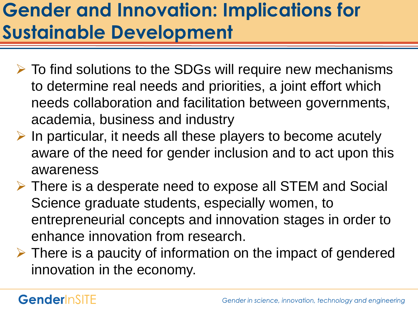## **Gender and Innovation: Implications for Sustainable Development**

- $\triangleright$  To find solutions to the SDGs will require new mechanisms to determine real needs and priorities, a joint effort which needs collaboration and facilitation between governments, academia, business and industry
- $\triangleright$  In particular, it needs all these players to become acutely aware of the need for gender inclusion and to act upon this awareness
- There is a desperate need to expose all STEM and Social Science graduate students, especially women, to entrepreneurial concepts and innovation stages in order to enhance innovation from research.
- $\triangleright$  There is a paucity of information on the impact of gendered innovation in the economy.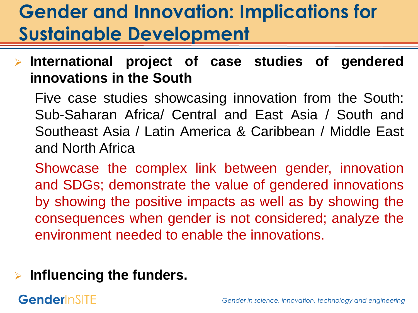## **Gender and Innovation: Implications for Sustainable Development**

 **International project of case studies of gendered innovations in the South**

Five case studies showcasing innovation from the South: Sub-Saharan Africa/ Central and East Asia / South and Southeast Asia / Latin America & Caribbean / Middle East and North Africa

Showcase the complex link between gender, innovation and SDGs; demonstrate the value of gendered innovations by showing the positive impacts as well as by showing the consequences when gender is not considered; analyze the environment needed to enable the innovations.

### **Influencing the funders.**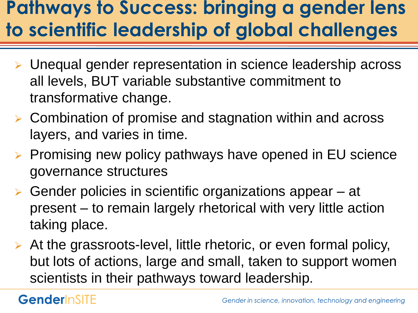### **Pathways to Success: bringing a gender lens to scientific leadership of global challenges**

- Unequal gender representation in science leadership across all levels, BUT variable substantive commitment to transformative change.
- ▶ Combination of promise and stagnation within and across layers, and varies in time.
- $\triangleright$  Promising new policy pathways have opened in EU science governance structures
- ▶ Gender policies in scientific organizations appear at present – to remain largely rhetorical with very little action taking place.
- At the grassroots-level, little rhetoric, or even formal policy, but lots of actions, large and small, taken to support women scientists in their pathways toward leadership.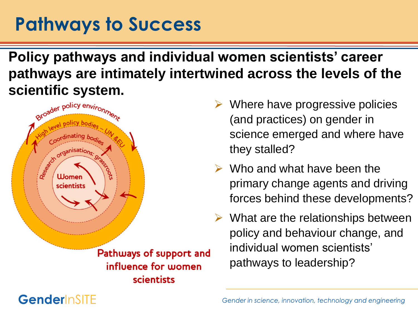### **Pathways to Success**

**Policy pathways and individual women scientists' career pathways are intimately intertwined across the levels of the scientific system.**



 $\triangleright$  Where have progressive policies (and practices) on gender in science emerged and where have they stalled?

- $\triangleright$  Who and what have been the primary change agents and driving forces behind these developments?
- $\triangleright$  What are the relationships between policy and behaviour change, and individual women scientists' pathways to leadership?